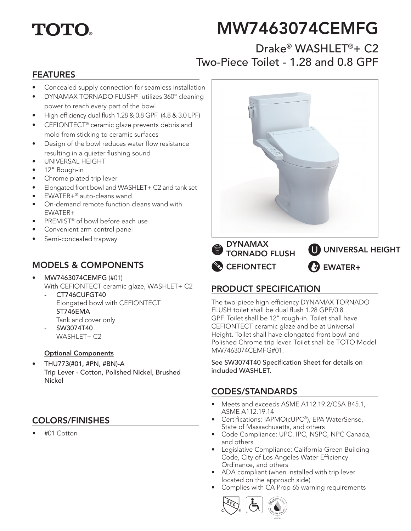# **TOTO**

# MW7463074CEMFG

## Drake® WASHLFT®+ C2 Two-Piece Toilet - 1.28 and 0.8 GPF

#### FEATURES

- Concealed supply connection for seamless installation
- DYNAMAX TORNADO FLUSH® utilizes 360º cleaning power to reach every part of the bowl
- High-efficiency dual flush 1.28 & 0.8 GPF (4.8 & 3.0 LPF)
- CEFIONTECT<sup>®</sup> ceramic glaze prevents debris and mold from sticking to ceramic surfaces
- Design of the bowl reduces water flow resistance resulting in a quieter flushing sound
- UNIVERSAL HEIGHT
- 12" Rough-in
- Chrome plated trip lever
- Elongated front bowl and WASHLET+ C2 and tank set
- EWATER+® auto-cleans wand
- On-demand remote function cleans wand with EWATER+
- PREMIST<sup>®</sup> of bowl before each use
- Convenient arm control panel
- Semi-concealed trapway

#### MODELS & COMPONENTS

- MW7463074CEMFG (#01) With CEFIONTECT ceramic glaze, WASHLET+ C2
	- CT746CUFGT40 Elongated bowl with CEFIONTECT
	- ST746EMA
	- Tank and cover only
	- SW3074T40 WASHLET+ C2

#### Optional Components

• THU773(#01, #PN, #BN)-A Trip Lever - Cotton, Polished Nickel, Brushed Nickel

#### COLORS/FINISHES

• #01 Cotton



**CEFIONTECT** DYNAMAX TORNADO FLUSH EWATER+ UNIVERSAL HEIGHT

### PRODUCT SPECIFICATION

The two-piece high-efficiency DYNAMAX TORNADO FLUSH toilet shall be dual flush 1.28 GPF/0.8 GPF. Toilet shall be 12" rough-in. Toilet shall have CEFIONTECT ceramic glaze and be at Universal Height. Toilet shall have elongated front bowl and Polished Chrome trip lever. Toilet shall be TOTO Model MW7463074CEMFG#01.

See SW3074T40 Specification Sheet for details on included WASHLET.

#### CODES/STANDARDS

- Meets and exceeds ASME A112.19.2/CSA B45.1, ASME A112.19.14
- Certifications: IAPMO(cUPC®), EPA WaterSense, State of Massachusetts, and others
- Code Compliance: UPC, IPC, NSPC, NPC Canada, and others
- Legislative Compliance: California Green Building Code, City of Los Angeles Water Efficiency Ordinance, and others
- ADA compliant (when installed with trip lever located on the approach side)
- Complies with CA Prop 65 warning requirements